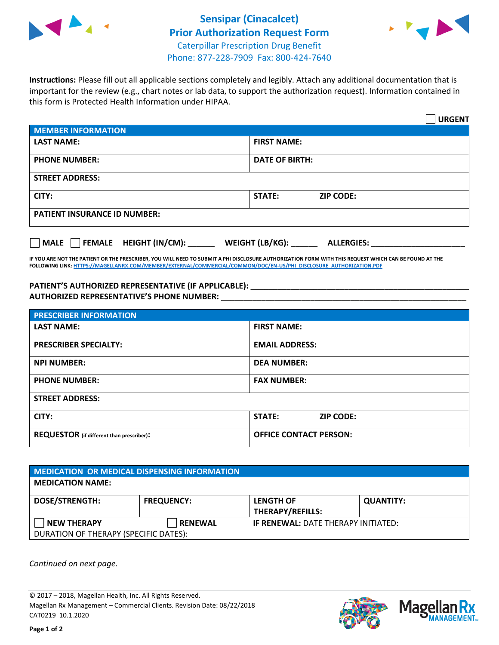



**Instructions:** Please fill out all applicable sections completely and legibly. Attach any additional documentation that is important for the review (e.g., chart notes or lab data, to support the authorization request). Information contained in this form is Protected Health Information under HIPAA.

|                                                | <b>URGENT</b>                        |  |  |  |
|------------------------------------------------|--------------------------------------|--|--|--|
| <b>MEMBER INFORMATION</b>                      |                                      |  |  |  |
| <b>LAST NAME:</b>                              | <b>FIRST NAME:</b>                   |  |  |  |
| <b>PHONE NUMBER:</b>                           | <b>DATE OF BIRTH:</b>                |  |  |  |
| <b>STREET ADDRESS:</b>                         |                                      |  |  |  |
| CITY:                                          | <b>STATE:</b><br><b>ZIP CODE:</b>    |  |  |  |
| <b>PATIENT INSURANCE ID NUMBER:</b>            |                                      |  |  |  |
| $\Box$ FEMALE HEIGHT (IN/CM): _<br><b>MALE</b> | WEIGHT (LB/KG):<br><b>ALLERGIES:</b> |  |  |  |

**IF YOU ARE NOT THE PATIENT OR THE PRESCRIBER, YOU WILL NEED TO SUBMIT A PHI DISCLOSURE AUTHORIZATION FORM WITH THIS REQUEST WHICH CAN BE FOUND AT THE FOLLOWING LINK[: HTTPS://MAGELLANRX.COM/MEMBER/EXTERNAL/COMMERCIAL/COMMON/DOC/EN-US/PHI\\_DISCLOSURE\\_AUTHORIZATION.PDF](https://magellanrx.com/member/external/commercial/common/doc/en-us/PHI_Disclosure_Authorization.pdf)**

**PATIENT'S AUTHORIZED REPRESENTATIVE (IF APPLICABLE): \_\_\_\_\_\_\_\_\_\_\_\_\_\_\_\_\_\_\_\_\_\_\_\_\_\_\_\_\_\_\_\_\_\_\_\_\_\_\_\_\_\_\_\_\_\_\_\_\_ AUTHORIZED REPRESENTATIVE'S PHONE NUMBER:** \_\_\_\_\_\_\_\_\_\_\_\_\_\_\_\_\_\_\_\_\_\_\_\_\_\_\_\_\_\_\_\_\_\_\_\_\_\_\_\_\_\_\_\_\_\_\_\_\_\_\_\_\_\_\_

| <b>PRESCRIBER INFORMATION</b>             |                               |  |  |  |
|-------------------------------------------|-------------------------------|--|--|--|
| <b>LAST NAME:</b>                         | <b>FIRST NAME:</b>            |  |  |  |
| <b>PRESCRIBER SPECIALTY:</b>              | <b>EMAIL ADDRESS:</b>         |  |  |  |
| <b>NPI NUMBER:</b>                        | <b>DEA NUMBER:</b>            |  |  |  |
| <b>PHONE NUMBER:</b>                      | <b>FAX NUMBER:</b>            |  |  |  |
| <b>STREET ADDRESS:</b>                    |                               |  |  |  |
| CITY:                                     | STATE:<br><b>ZIP CODE:</b>    |  |  |  |
| REQUESTOR (if different than prescriber): | <b>OFFICE CONTACT PERSON:</b> |  |  |  |

| <b>MEDICATION OR MEDICAL DISPENSING INFORMATION</b> |                   |                                            |                  |  |
|-----------------------------------------------------|-------------------|--------------------------------------------|------------------|--|
| <b>MEDICATION NAME:</b>                             |                   |                                            |                  |  |
| <b>DOSE/STRENGTH:</b>                               | <b>FREQUENCY:</b> | <b>LENGTH OF</b>                           | <b>QUANTITY:</b> |  |
|                                                     |                   | <b>THERAPY/REFILLS:</b>                    |                  |  |
| <b>NEW THERAPY</b>                                  | <b>RENEWAL</b>    | <b>IF RENEWAL: DATE THERAPY INITIATED:</b> |                  |  |
| DURATION OF THERAPY (SPECIFIC DATES):               |                   |                                            |                  |  |

*Continued on next page.*

© 2017 – 2018, Magellan Health, Inc. All Rights Reserved. Magellan Rx Management – Commercial Clients. Revision Date: 08/22/2018 CAT0219 10.1.2020